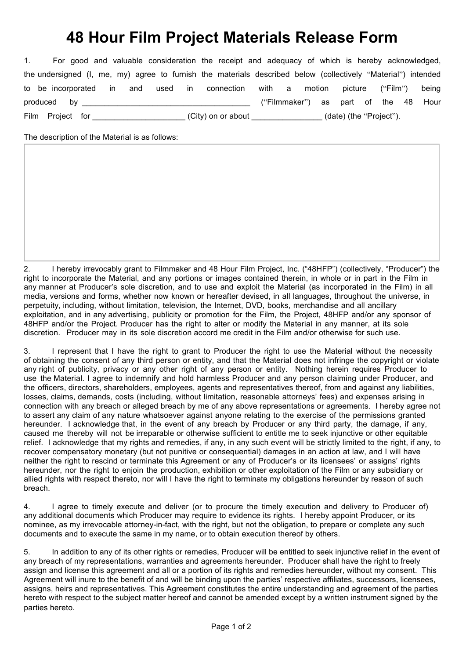## **48 Hour Film Project Materials Release Form**

| 1. |  |  |                                   |  | For good and valuable consideration the receipt and adequacy of which is hereby acknowledged,                 |  |  |  |                         |                                      |
|----|--|--|-----------------------------------|--|---------------------------------------------------------------------------------------------------------------|--|--|--|-------------------------|--------------------------------------|
|    |  |  |                                   |  | the undersigned (I, me, my) agree to furnish the materials described below (collectively "Material") intended |  |  |  |                         |                                      |
|    |  |  |                                   |  | to be incorporated in and used in connection with a motion picture ("Film") being                             |  |  |  |                         |                                      |
|    |  |  |                                   |  |                                                                                                               |  |  |  |                         | ("Filmmaker") as part of the 48 Hour |
|    |  |  | Film Project for ________________ |  | (City) on or about _____________                                                                              |  |  |  | (date) (the "Project"). |                                      |

The description of the Material is as follows:

2. I hereby irrevocably grant to Filmmaker and 48 Hour Film Project, Inc. ("48HFP") (collectively, "Producer") the right to incorporate the Material, and any portions or images contained therein, in whole or in part in the Film in any manner at Producer's sole discretion, and to use and exploit the Material (as incorporated in the Film) in all media, versions and forms, whether now known or hereafter devised, in all languages, throughout the universe, in perpetuity, including, without limitation, television, the Internet, DVD, books, merchandise and all ancillary exploitation, and in any advertising, publicity or promotion for the Film, the Project, 48HFP and/or any sponsor of 48HFP and/or the Project. Producer has the right to alter or modify the Material in any manner, at its sole discretion. Producer may in its sole discretion accord me credit in the Film and/or otherwise for such use.

3. I represent that I have the right to grant to Producer the right to use the Material without the necessity of obtaining the consent of any third person or entity, and that the Material does not infringe the copyright or violate any right of publicity, privacy or any other right of any person or entity. Nothing herein requires Producer to use the Material. I agree to indemnify and hold harmless Producer and any person claiming under Producer, and the officers, directors, shareholders, employees, agents and representatives thereof, from and against any liabilities, losses, claims, demands, costs (including, without limitation, reasonable attorneys' fees) and expenses arising in connection with any breach or alleged breach by me of any above representations or agreements. I hereby agree not to assert any claim of any nature whatsoever against anyone relating to the exercise of the permissions granted hereunder. I acknowledge that, in the event of any breach by Producer or any third party, the damage, if any, caused me thereby will not be irreparable or otherwise sufficient to entitle me to seek injunctive or other equitable relief. I acknowledge that my rights and remedies, if any, in any such event will be strictly limited to the right, if any, to recover compensatory monetary (but not punitive or consequential) damages in an action at law, and I will have neither the right to rescind or terminate this Agreement or any of Producer's or its licensees' or assigns' rights hereunder, nor the right to enjoin the production, exhibition or other exploitation of the Film or any subsidiary or allied rights with respect thereto, nor will I have the right to terminate my obligations hereunder by reason of such breach.

4. I agree to timely execute and deliver (or to procure the timely execution and delivery to Producer of) any additional documents which Producer may require to evidence its rights. I hereby appoint Producer, or its nominee, as my irrevocable attorney-in-fact, with the right, but not the obligation, to prepare or complete any such documents and to execute the same in my name, or to obtain execution thereof by others.

5. In addition to any of its other rights or remedies, Producer will be entitled to seek injunctive relief in the event of any breach of my representations, warranties and agreements hereunder. Producer shall have the right to freely assign and license this agreement and all or a portion of its rights and remedies hereunder, without my consent. This Agreement will inure to the benefit of and will be binding upon the parties' respective affiliates, successors, licensees, assigns, heirs and representatives. This Agreement constitutes the entire understanding and agreement of the parties hereto with respect to the subject matter hereof and cannot be amended except by a written instrument signed by the parties hereto.